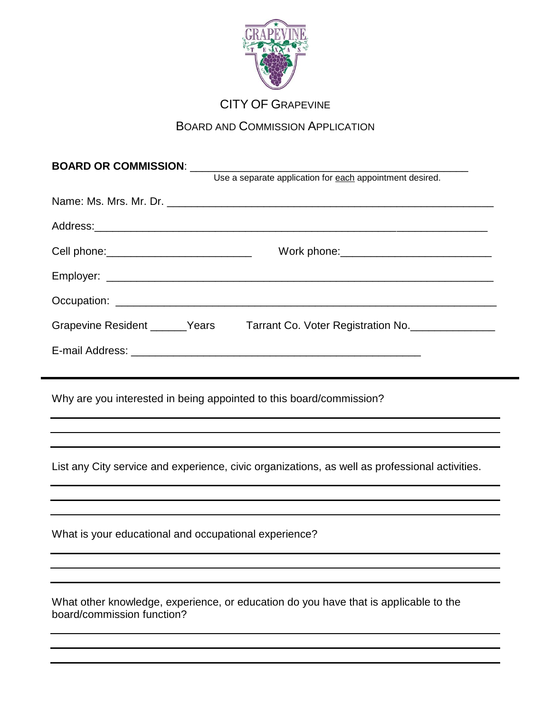

## CITY OF GRAPEVINE

## BOARD AND COMMISSION APPLICATION

| BOARD OR COMMISSION: _______                                                                                       |
|--------------------------------------------------------------------------------------------------------------------|
| Use a separate application for each appointment desired.                                                           |
|                                                                                                                    |
|                                                                                                                    |
| Cell phone:_____________________________                                                                           |
|                                                                                                                    |
|                                                                                                                    |
| Grapevine Resident ______Years Tarrant Co. Voter Registration No. ______________                                   |
|                                                                                                                    |
|                                                                                                                    |
| Why are you interested in being appointed to this board/commission?                                                |
|                                                                                                                    |
|                                                                                                                    |
| List any City service and experience, civic organizations, as well as professional activities.                     |
|                                                                                                                    |
|                                                                                                                    |
| What is your educational and occupational experience?                                                              |
|                                                                                                                    |
|                                                                                                                    |
| What other knowledge, experience, or education do you have that is applicable to the<br>board/commission function? |
|                                                                                                                    |
|                                                                                                                    |